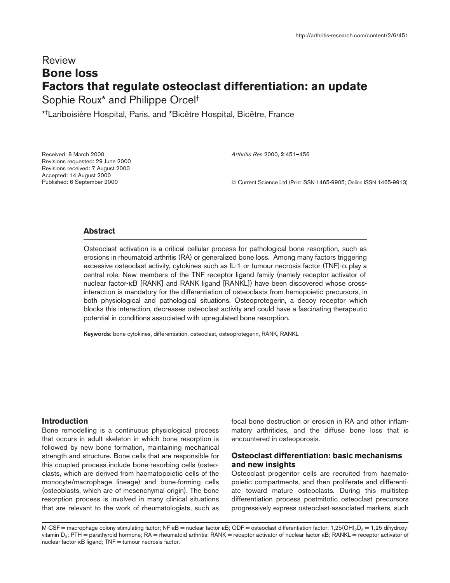# Review **Bone loss Factors that regulate osteoclast differentiation: an update** Sophie Roux\* and Philippe Orcel†

\*†Lariboisière Hospital, Paris, and \*Bicêtre Hospital, Bicêtre, France

Received: 8 March 2000 Revisions requested: 29 June 2000 Revisions received: 7 August 2000 Accepted: 14 August 2000 Published: 6 September 2000

*Arthritis Res* 2000, **2**:451–456

© Current Science Ltd (Print ISSN 1465-9905; Online ISSN 1465-9913)

# **Abstract**

Osteoclast activation is a critical cellular process for pathological bone resorption, such as erosions in rheumatoid arthritis (RA) or generalized bone loss. Among many factors triggering excessive osteoclast activity, cytokines such as IL-1 or tumour necrosis factor (TNF)- $\alpha$  play a central role. New members of the TNF receptor ligand family (namely receptor activator of nuclear factor-κB [RANK] and RANK ligand [RANKL]) have been discovered whose crossinteraction is mandatory for the differentiation of osteoclasts from hemopoietic precursors, in both physiological and pathological situations. Osteoprotegerin, a decoy receptor which blocks this interaction, decreases osteoclast activity and could have a fascinating therapeutic potential in conditions associated with upregulated bone resorption.

**Keywords:** bone cytokines, differentiation, osteoclast, osteoprotegerin, RANK, RANKL

## **Introduction**

Bone remodelling is a continuous physiological process that occurs in adult skeleton in which bone resorption is followed by new bone formation, maintaining mechanical strength and structure. Bone cells that are responsible for this coupled process include bone-resorbing cells (osteoclasts, which are derived from haematopoietic cells of the monocyte/macrophage lineage) and bone-forming cells (osteoblasts, which are of mesenchymal origin). The bone resorption process is involved in many clinical situations that are relevant to the work of rheumatologists, such as focal bone destruction or erosion in RA and other inflammatory arthritides, and the diffuse bone loss that is encountered in osteoporosis.

# **Osteoclast differentiation: basic mechanisms and new insights**

Osteoclast progenitor cells are recruited from haematopoietic compartments, and then proliferate and differentiate toward mature osteoclasts. During this multistep differentiation process postmitotic osteoclast precursors progressively express osteoclast-associated markers, such

M-CSF = macrophage colony-stimulating factor; NF-κB = nuclear factor-κB; ODF = osteoclast differentiation factor; 1,25(OH)<sub>2</sub>D<sub>3</sub> = 1,25-dihydroxyvitamin D<sub>3</sub>; PTH = parathyroid hormone; RA = rheumatoid arthritis; RANK = receptor activator of nuclear factor-κB; RANKL = receptor activator of nuclear factor-κB ligand; TNF = tumour necrosis factor.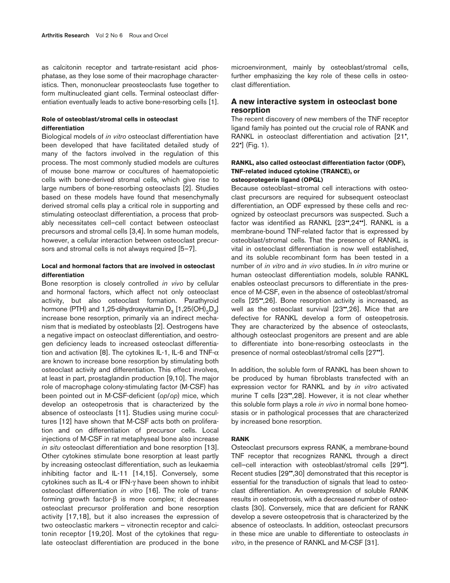as calcitonin receptor and tartrate-resistant acid phosphatase, as they lose some of their macrophage characteristics. Then, mononuclear preosteoclasts fuse together to form multinucleated giant cells. Terminal osteoclast differentiation eventually leads to active bone-resorbing cells [1].

## **Role of osteoblast/stromal cells in osteoclast differentiation**

Biological models of *in vitro* osteoclast differentiation have been developed that have facilitated detailed study of many of the factors involved in the regulation of this process. The most commonly studied models are cultures of mouse bone marrow or cocultures of haematopoietic cells with bone-derived stromal cells, which give rise to large numbers of bone-resorbing osteoclasts [2]. Studies based on these models have found that mesenchymally derived stromal cells play a critical role in supporting and stimulating osteoclast differentiation, a process that probably necessitates cell–cell contact between osteoclast precursors and stromal cells [3,4]. In some human models, however, a cellular interaction between osteoclast precursors and stromal cells is not always required [5–7].

# **Local and hormonal factors that are involved in osteoclast differentiation**

Bone resorption is closely controlled *in vivo* by cellular and hormonal factors, which affect not only osteoclast activity, but also osteoclast formation. Parathyroid hormone (PTH) and 1,25-dihydroxyvitamin  $D_3$  [1,25(OH)<sub>2</sub>D<sub>3</sub>] increase bone resorption, primarily via an indirect mechanism that is mediated by osteoblasts [2]. Oestrogens have a negative impact on osteoclast differentiation, and oestrogen deficiency leads to increased osteoclast differentiation and activation [8]. The cytokines IL-1, IL-6 and TNF- $\alpha$ are known to increase bone resorption by stimulating both osteoclast activity and differentiation. This effect involves, at least in part, prostaglandin production [9,10]. The major role of macrophage colony-stimulating factor (M-CSF) has been pointed out in M-CSF-deficient (*op*/*op*) mice, which develop an osteopetrosis that is characterized by the absence of osteoclasts [11]. Studies using murine cocultures [12] have shown that M-CSF acts both on proliferation and on differentiation of precursor cells. Local injections of M-CSF in rat metaphyseal bone also increase *in situ* osteoclast differentiation and bone resorption [13]. Other cytokines stimulate bone resorption at least partly by increasing osteoclast differentiation, such as leukaemia inhibiting factor and IL-11 [14,15]. Conversely, some cytokines such as IL-4 or IFN-γ have been shown to inhibit osteoclast differentiation *in vitro* [16]. The role of transforming growth factor-β is more complex; it decreases osteoclast precursor proliferation and bone resorption activity [17,18], but it also increases the expression of two osteoclastic markers – vitronectin receptor and calcitonin receptor [19,20]. Most of the cytokines that regulate osteoclast differentiation are produced in the bone

microenvironment, mainly by osteoblast/stromal cells, further emphasizing the key role of these cells in osteoclast differentiation.

# **A new interactive system in osteoclast bone resorption**

The recent discovery of new members of the TNF receptor ligand family has pointed out the crucial role of RANK and RANKL in osteoclast differentiation and activation [21•, 22•] (Fig. 1).

## **RANKL, also called osteoclast differentiation factor (ODF), TNF-related induced cytokine (TRANCE), or osteoprotegerin ligand (OPGL)**

Because osteoblast–stromal cell interactions with osteoclast precursors are required for subsequent osteoclast differentiation, an ODF expressed by these cells and recognized by osteoclast precursors was suspected. Such a factor was identified as RANKL [23",24"]. RANKL is a membrane-bound TNF-related factor that is expressed by osteoblast/stromal cells. That the presence of RANKL is vital in osteoclast differentiation is now well established, and its soluble recombinant form has been tested in a number of *in vitro* and *in vivo* studies. In *in vitro* murine or human osteoclast differentiation models, soluble RANKL enables osteoclast precursors to differentiate in the presence of M-CSF, even in the absence of osteoblast/stromal cells [25••,26]. Bone resorption activity is increased, as well as the osteoclast survival [23••,26]. Mice that are defective for RANKL develop a form of osteopetrosis. They are characterized by the absence of osteoclasts, although osteoclast progenitors are present and are able to differentiate into bone-resorbing osteoclasts in the presence of normal osteoblast/stromal cells [27••].

In addition, the soluble form of RANKL has been shown to be produced by human fibroblasts transfected with an expression vector for RANKL and by *in vitro* activated murine T cells [23••,28]. However, it is not clear whether this soluble form plays a role *in vivo* in normal bone homeostasis or in pathological processes that are characterized by increased bone resorption.

#### **RANK**

Osteoclast precursors express RANK, a membrane-bound TNF receptor that recognizes RANKL through a direct cell–cell interaction with osteoblast/stromal cells [29••]. Recent studies [29••,30] demonstrated that this receptor is essential for the transduction of signals that lead to osteoclast differentiation. An overexpression of soluble RANK results in osteopetrosis, with a decreased number of osteoclasts [30]. Conversely, mice that are deficient for RANK develop a severe osteopetrosis that is characterized by the absence of osteoclasts. In addition, osteoclast precursors in these mice are unable to differentiate to osteoclasts *in vitro*, in the presence of RANKL and M-CSF [31].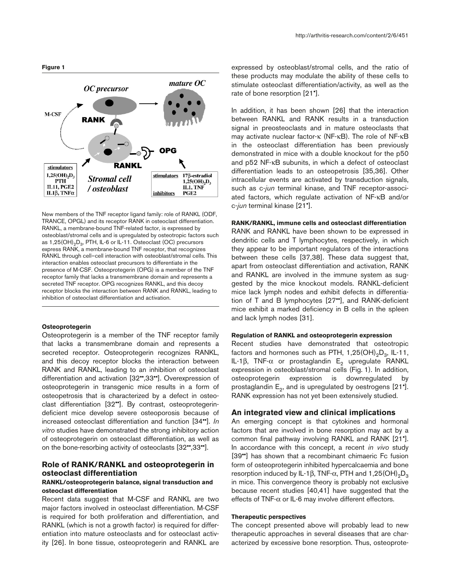

New members of the TNF receptor ligand family: role of RANKL (ODF, TRANCE, OPGL) and its receptor RANK in osteoclast differentiation. RANKL, a membrane-bound TNF-related factor, is expressed by osteoblast/stromal cells and is upregulated by osteotropic factors such as  $1,25(OH), D<sub>3</sub>$ , PTH, IL-6 or IL-11. Osteoclast (OC) precursors express RANK, a membrane-bound TNF receptor, that recognizes RANKL through cell–cell interaction with osteoblast/stromal cells. This interaction enables osteoclast precursors to differentiate in the presence of M-CSF. Osteoprotegerin (OPG) is a member of the TNF receptor family that lacks a transmembrane domain and represents a secreted TNF receptor. OPG recognizes RANKL, and this decoy receptor blocks the interaction between RANK and RANKL, leading to inhibition of osteoclast differentiation and activation.

### **Osteoprotegerin**

Osteoprotegerin is a member of the TNF receptor family that lacks a transmembrane domain and represents a secreted receptor. Osteoprotegerin recognizes RANKL, and this decoy receptor blocks the interaction between RANK and RANKL, leading to an inhibition of osteoclast differentiation and activation [32••,33••]. Overexpression of osteoprotegerin in transgenic mice results in a form of osteopetrosis that is characterized by a defect in osteoclast differentiation [32••]. By contrast, osteoprotegerindeficient mice develop severe osteoporosis because of increased osteoclast differentiation and function [34••]. *In vitro* studies have demonstrated the strong inhibitory action of osteoprotegerin on osteoclast differentiation, as well as on the bone-resorbing activity of osteoclasts [32••,33••].

## **Role of RANK/RANKL and osteoprotegerin in osteoclast differentiation**

## **RANKL/osteoprotegerin balance, signal transduction and osteoclast differentiation**

Recent data suggest that M-CSF and RANKL are two major factors involved in osteoclast differentiation. M-CSF is required for both proliferation and differentiation, and RANKL (which is not a growth factor) is required for differentiation into mature osteoclasts and for osteoclast activity [26]. In bone tissue, osteoprotegerin and RANKL are

expressed by osteoblast/stromal cells, and the ratio of these products may modulate the ability of these cells to stimulate osteoclast differentiation/activity, as well as the rate of bone resorption [21•].

In addition, it has been shown [26] that the interaction between RANKL and RANK results in a transduction signal in preosteoclasts and in mature osteoclasts that may activate nuclear factor-κ (NF-κB). The role of NF-κB in the osteoclast differentiation has been previously demonstrated in mice with a double knockout for the p50 and p52 NF-κB subunits, in which a defect of osteoclast differentiation leads to an osteopetrosis [35,36]. Other intracellular events are activated by transduction signals, such as c-*jun* terminal kinase, and TNF receptor-associated factors, which regulate activation of NF-κB and/or c-*jun* terminal kinase [21•].

#### **RANK/RANKL, immune cells and osteoclast differentiation**

RANK and RANKL have been shown to be expressed in dendritic cells and T lymphocytes, respectively, in which they appear to be important regulators of the interactions between these cells [37,38]. These data suggest that, apart from osteoclast differentiation and activation, RANK and RANKL are involved in the immune system as suggested by the mice knockout models. RANKL-deficient mice lack lymph nodes and exhibit defects in differentiation of T and B lymphocytes [27••], and RANK-deficient mice exhibit a marked deficiency in B cells in the spleen and lack lymph nodes [31].

#### **Regulation of RANKL and osteoprotegerin expression**

Recent studies have demonstrated that osteotropic factors and hormones such as PTH,  $1,25(OH)_{2}D_{3}$ , IL-11, IL-1β, TNF- $\alpha$  or prostaglandin E<sub>2</sub> upregulate RANKL expression in osteoblast/stromal cells (Fig. 1). In addition, osteoprotegerin expression is downregulated by prostaglandin  $E_2$ , and is upregulated by oestrogens [21°]. RANK expression has not yet been extensively studied.

#### **An integrated view and clinical implications**

An emerging concept is that cytokines and hormonal factors that are involved in bone resorption may act by a common final pathway involving RANKL and RANK [21•]. In accordance with this concept, a recent *in vivo* study [39••] has shown that a recombinant chimaeric Fc fusion form of osteoprotegerin inhibited hypercalcaemia and bone resorption induced by IL-1β, TNF- $\alpha$ , PTH and 1,25(OH)<sub>2</sub>D<sub>3</sub> in mice. This convergence theory is probably not exclusive because recent studies [40,41] have suggested that the effects of TNF- $\alpha$  or IL-6 may involve different effectors.

#### **Therapeutic perspectives**

The concept presented above will probably lead to new therapeutic approaches in several diseases that are characterized by excessive bone resorption. Thus, osteoprote-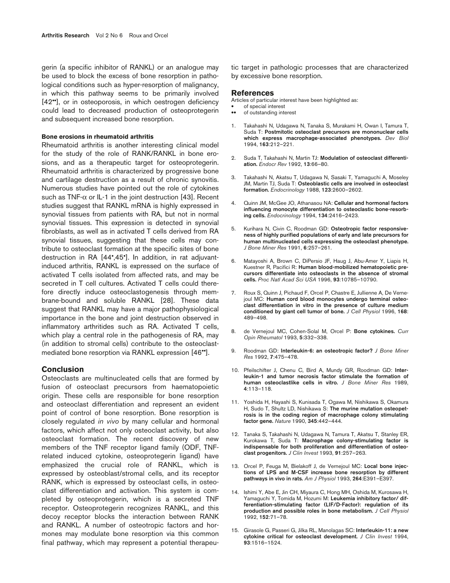gerin (a specific inhibitor of RANKL) or an analogue may be used to block the excess of bone resorption in pathological conditions such as hyper-resorption of malignancy, in which this pathway seems to be primarily involved [42<sup>••</sup>], or in osteoporosis, in which oestrogen deficiency could lead to decreased production of osteoprotegerin and subsequent increased bone resorption.

## **Bone erosions in rheumatoid arthritis**

Rheumatoid arthritis is another interesting clinical model for the study of the role of RANK/RANKL in bone erosions, and as a therapeutic target for osteoprotegerin. Rheumatoid arthritis is characterized by progressive bone and cartilage destruction as a result of chronic synovitis. Numerous studies have pointed out the role of cytokines such as TNF- $\alpha$  or IL-1 in the joint destruction [43]. Recent studies suggest that RANKL mRNA is highly expressed in synovial tissues from patients with RA, but not in normal synovial tissues. This expression is detected in synovial fibroblasts, as well as in activated T cells derived from RA synovial tissues, suggesting that these cells may contribute to osteoclast formation at the specific sites of bone destruction in RA [44•,45•]. In addition, in rat adjuvantinduced arthritis, RANKL is expressed on the surface of activated T cells isolated from affected rats, and may be secreted in T cell cultures. Activated T cells could therefore directly induce osteoclastogenesis through membrane-bound and soluble RANKL [28]. These data suggest that RANKL may have a major pathophysiological importance in the bone and joint destruction observed in inflammatory arthritides such as RA. Activated T cells, which play a central role in the pathogenesis of RA, may (in addition to stromal cells) contribute to the osteoclastmediated bone resorption via RANKL expression [46••].

## **Conclusion**

Osteoclasts are multinucleated cells that are formed by fusion of osteoclast precursors from haematopoietic origin. These cells are responsible for bone resorption and osteoclast differentiation and represent an evident point of control of bone resorption. Bone resorption is closely regulated *in vivo* by many cellular and hormonal factors, which affect not only osteoclast activity, but also osteoclast formation. The recent discovery of new members of the TNF receptor ligand family (ODF, TNFrelated induced cytokine, osteoprotegerin ligand) have emphasized the crucial role of RANKL, which is expressed by osteoblast/stromal cells, and its receptor RANK, which is expressed by osteoclast cells, in osteoclast differentiation and activation. This system is completed by osteoprotegerin, which is a secreted TNF receptor. Osteoprotegerin recognizes RANKL, and this decoy receptor blocks the interaction between RANK and RANKL. A number of osteotropic factors and hormones may modulate bone resorption via this common final pathway, which may represent a potential therapeutic target in pathologic processes that are characterized by excessive bone resorption.

#### **References**

Articles of particular interest have been highlighted as:

- of special interest<br>• of outstanding interof outstanding interest
- 
- 1. Takahashi N, Udagawa N, Tanaka S, Murakami H, Owan I, Tamura T, Suda T: **Postmitotic osteoclast precursors are mononuclear cells which express macrophage-associated phenotypes.** *Dev Biol* 1994, **163**:212–221.
- 2. Suda T, Takahashi N, Martin TJ: **Modulation of osteoclast differentiation.** *Endocr Rev* 1992, **13**:66–80.
- 3. Takahashi N, Akatsu T, Udagawa N, Sasaki T, Yamaguchi A, Moseley JM, Martin TJ, Suda T: **Osteoblastic cells are involved in osteoclast formation.** *Endocrinology* 1988, **123**:2600–2602.
- 4. Quinn JM, McGee JO, Athanasou NA: **Cellular and hormonal factors influencing monocyte differentiation to osteoclastic bone-resorbing cells.** *Endocrinology* 1994, **134**:2416–2423.
- 5. Kurihara N, Civin C, Roodman GD: **Osteotropic factor responsiveness of highly purified populations of early and late precursors for human multinucleated cells expressing the osteoclast phenotype.** *J Bone Miner Res* 1991, **6**:257–261.
- 6. Matayoshi A, Brown C, DiPersio JF, Haug J, Abu-Amer Y, Liapis H, Kuestner R, Pacifici R: **Human blood-mobilized hematopoietic precursors differentiate into osteoclasts in the absence of stromal cells.** *Proc Natl Acad Sci USA* 1996, **93**:10785–10790.
- 7. Roux S, Quinn J, Pichaud F, Orcel P, Chastre E, Jullienne A, De Vernejoul MC: **Human cord blood monocytes undergo terminal osteoclast differentiation in vitro in the presence of culture medium conditioned by giant cell tumor of bone.** *J Cell Physiol* 1996, **168**: 489–498.
- 8. de Vernejoul MC, Cohen-Solal M, Orcel P: **Bone cytokines.** *Curr Opin Rheumatol* 1993, **5**:332–338.
- 9. Roodman GD: **Interleukin-6: an osteotropic factor?** *J Bone Miner Res* 1992, **7**:475–478.
- 10. Pfeilschifter J, Chenu C, Bird A, Mundy GR, Roodman GD: **Interleukin-1 and tumor necrosis factor stimulate the formation of human osteoclastlike cells in vitro.** *J Bone Miner Res* 1989, **4**:113–118.
- 11. Yoshida H, Hayashi S, Kunisada T, Ogawa M, Nishikawa S, Okamura H, Sudo T, Shultz LD, Nishikawa S: **The murine mutation osteopetrosis is in the coding region of macrophage colony stimulating factor gene.** *Nature* 1990, **345**:442–444.
- 12. Tanaka S, Takahashi N, Udagawa N, Tamura T, Akatsu T, Stanley ER, Kurokawa T, Suda T: **Macrophage colony-stimulating factor is indispensable for both proliferation and differentiation of osteoclast progenitors.** *J Clin Invest* 1993, **91**:257–263.
- 13. Orcel P, Feuga M, Bielakoff J, de Vernejoul MC: **Local bone injections of LPS and M-CSF increase bone resorption by different pathways in vivo in rats.** *Am J Physiol* 1993, **264**:E391–E397.
- 14. Ishimi Y, Abe E, Jin CH, Miyaura C, Hong MH, Oshida M, Kurosawa H, Yamaguchi Y, Tomida M, Hozumi M: **Leukemia inhibitory factor/ differentiation-stimulating factor (LIF/D-Factor): regulation of its production and possible roles in bone metabolism.** *J Cell Physiol* 1992, **152**:71–78.
- 15. Girasole G, Passeri G, Jilka RL, Manolagas SC: **Interleukin-11: a new cytokine critical for osteoclast development.** *J Clin Invest* 1994, **93**:1516–1524.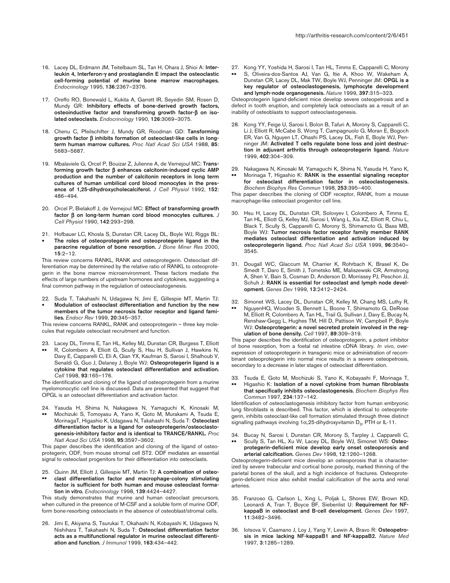- 16. Lacey DL, Erdmann JM, Teitelbaum SL, Tan H, Ohara J, Shioi A: **Interleukin 4, Interferon-**γ **and prostaglandin E impact the osteoclastic cell-forming potential of murine bone marrow macrophages.** *Endocrinology* 1995, **136**:2367–2376.
- 17. Oreffo RO, Bonewald L, Kukita A, Garrett IR, Seyedin SM, Rosen D, Mundy GR: **Inhibitory effects of bone-derived growth factors, osteoinductive factor and transforming growth factor-**β **on isolated osteoclasts.** *Endocrinology* 1990, **126**:3069–3075.
- 18. Chenu C, Pfeilschifter J, Mundy GR, Roodman GD: **Tansforming growth factor** β **inhibits formation of osteoclast-like cells in longterm human marrow cultures.** *Proc Natl Acad Sci USA* 1988, **85**: 5683–5687.
- 19. Mbalaviele G, Orcel P, Bouizar Z, Julienne A, de Vernejoul MC: **Transforming growth factor** β **enhances calcitonin-induced cyclic AMP production and the number of calcitonin receptors in long term cultures of human umbilical cord blood monocytes in the presence of 1,25-dihydroxycholecalciferol.** *J Cell Physiol* 1992, **152**: 486–494.
- 20. Orcel P, Bielakoff J, de Vernejoul MC: **Effect of transforming growth factor** β **on long-term human cord blood monocytes cultures.** *J Cell Physiol* 1990, **142**:293–298.
- 21. Hofbauer LC, Khosla S, Dunstan CR, Lacey DL, Boyle WJ, Riggs BL: • **The roles of osteoprotegerin and osteoprotegerin ligand in the paracrine regulation of bone resorption.** *J Bone Miner Res* 2000, **15**:2–12.

This review concerns RANKL, RANK and osteoprotegerin. Osteoclast differentiation may be determined by the relative ratio of RANKL to osteoprotegerin in the bone marrow microenvironment. These factors mediate the effects of large numbers of upstream hormones and cytokines, suggesting a final common pathway in the regulation of osteoclastogenesis.

22. Suda T, Takahashi N, Udagawa N, Jimi E, Gillespie MT, Martin TJ: • **Modulation of osteoclast differentiation and function by the new members of the tumor necrosis factor receptor and ligand families.** *Endocr Rev* 1999, **20**:345–357.

This review concerns RANKL, RANK and osteoprotegerin – three key molecules that regulate osteoclast recruitment and function.

- 23. Lacey DL, Timms E, Tan HL, Kelley MJ, Dunstan CR, Burgess T, Elliott
- •• R, Colombero A, Elliott G, Scully S, Hsu H, Sullivan J, Hawkins N, Davy E, Capparelli C, Eli A, Qian YX, Kaufman S, Sarosi I, Shalhoub V, Senaldi G, Guo J, Delaney J, Boyle WJ: **Osteoprotegerin ligand is a cytokine that regulates osteoclast differentiation and activation.** *Cell* 1998, **93**:165–176.

The identification and cloning of the ligand of osteoprotegerin from a murine myelomonocytic cell line is discussed. Data are presented that suggest that OPGL is an osteoclast differentiation and activation factor.

- 24. Yasuda H, Shima N, Nakagawa N, Yamaguchi K, Kinosaki M,
- •• Mochizuki S, Tomoyasu A, Yano K, Goto M, Murakami A, Tsuda E, MorinagaT, Higashio K, Udagawa N, Takahashi N, Suda T: **Osteoclast differentiation factor is a ligand for osteoprotegerin/osteoclastogenesis-inhibitory factor and is identical to TRANCE/RANKL.** *Proc Natl Acad Sci USA* 1998, **95**:3597–3602.

This paper describes the identification and cloning of the ligand of osteoprotegerin, ODF, from mouse stromal cell ST2. ODF mediates an essential signal to osteoclast progenitors for their differentiation into osteoclasts.

- 25. Quinn JM, Elliott J, Gillespie MT, Martin TJ: **A combination of osteo-**
- •• **clast differentiation factor and macrophage-colony stimulating factor is sufficient for both human and mouse osteoclast formation in vitro.** *Endocrinology* 1998, **139**:4424–4427.

This study demonstrates that murine and human osteoclast precursors, when cultured in the presence of M-CSF and a soluble form of murine ODF, form bone-resorbing osteoclasts in the absence of osteoblast/stromal cells.

26. Jimi E, Akiyama S, Tsurukai T, Okahashi N, Kobayashi K, Udagawa N, Nishihara T, Takahashi N, Suda T: **Osteoclast differentiation factor acts as a multifunctional regulator in murine osteoclast differentiation and function.** *J Immunol* 1999, **163**:434–442.

- 27. Kong YY, Yoshida H, Sarosi I, Tan HL, Timms E, Capparelli C, Morony
- •• S, Oliveira-dos-Santos AJ, Van G, Itie A, Khoo W, Wakeham A, Dunstan CR, Lacey DL, Mak TW, Boyle WJ, Penninger JM: **OPGL is a key regulator of osteoclastogenesis, lymphocyte development and lymph-node organogenesis.** *Nature* 1999, **397**:315–323.

Osteoprotegerin ligand-deficient mice develop severe osteopetrosis and a defect in tooth eruption, and completely lack osteoclasts as a result of an inability of osteoblasts to support osteoclastogenesis.

- 28. Kong YY, Feige U, Sarosi I, Bolon B, Tafuri A, Morony S, Capparelli C, Li J, Elliott R, McCabe S, Wong T, Campagnuolo G, Moran E, Bogoch ER, Van G, Nguyen LT, Ohashi PS, Lacey DL, Fish E, Boyle WJ, Penninger JM: **Activated T cells regulate bone loss and joint destruction in adjuvant arthritis through osteoprotegerin ligand.** *Nature* 1999, **402**:304–309.
- 29. Nakagawa N, Kinosaki M, Yamaguchi K, Shima N, Yasuda H, Yano K,
- •• Morinaga T, Higashio K: **RANK is the essential signaling receptor for osteoclast differentiation factor in osteoclastogenesis.** *Biochem Biophys Res Commun* 1998, **253**:395–400.

This paper describes the cloning of ODF receptor, RANK, from a mouse macrophage-like osteoclast progenitor cell line.

- 30. Hsu H, Lacey DL, Dunstan CR, Solovyev I, Colombero A, Timms E, Tan HL, Elliott G, Kelley MJ, Sarosi I, Wang L, Xia XZ, Elliott R, Chiu L, Black T, Scully S, Capparelli C, Morony S, Shimamoto G, Bass MB, Boyle WJ: **Tumor necrosis factor receptor family member RANK mediates osteoclast differentiation and activation induced by osteoprotegerin ligand.** *Proc Natl Acad Sci USA* 1999, **96**:3540– 3545.
- 31. Dougall WC, Glaccum M, Charrier K, Rohrbach K, Brasel K, De Smedt T, Daro E, Smith J, Tometsko ME, Maliszewski CR, Armstrong A, Shen V, Bain S, Cosman D, Anderson D, Morrissey PJ, Peschon JJ, Schuh J: **RANK is essential for osteoclast and lymph node development.** *Genes Dev* 1999, **13**:2412–2424.
- 32. Simonet WS, Lacey DL, Dunstan CR, Kelley M, Chang MS, Luthy R, •• NguyenHQ, Wooden S, Bennett L, Boone T, Shimamoto G, DeRose M, Elliott R, Colombero A, Tan HL, Trail G, Sullivan J, Davy E, Bucay N, Renshaw-Gegg L, Hughes TM, Hill D, Pattison W, Campbell P, Boyle WJ: **Osteoprotegerin: a novel secreted protein involved in the regulation of bone density.** *Cell* 1997, **89**:309–319.

This paper describes the identification of osteoprotegerin, a potent inhibitor of bone resorption, from a foetal rat intestine cDNA library. *In vivo*, overexpression of osteoprotegerin in transgenic mice or administration of recombinant osteoprotegerin into normal mice results in a severe osteopetrosis, secondary to a decrease in later stages of osteoclast differentiation.

- 33. Tsuda E, Goto M, Mochizuki S, Yano K, Kobayashi F, Morinaga T,
- •• Higashio K: **Isolation of a novel cytokine from human fibroblasts that specifically inhibits osteoclastogenesis.** *Biochem Biophys Res Commun* 1997, **234**:137–142.

Identification of osteoclastogenesis inhibitory factor from human embryonic lung fibroblasts is described. This factor, which is identical to osteoprotegerin, inhibits osteoclast-like cell formation stimulated through three distinct signalling pathways involving 1 $\alpha$ , 25-dihydroxyvitamin D<sub>3</sub>, PTH or IL-11.

- 34. Bucay N, Sarosi I, Dunstan CR, Morony S, Tarpley J, Capparelli C,
- Scully S, Tan HL, Xu W, Lacey DL, Boyle WJ, Simonet WS: Osteo**protegerin-deficient mice develop early onset osteoporosis and arterial calcification.** *Genes Dev* 1998, **12**:1260–1268.

Osteoprotegerin-deficient mice develop an osteoporosis that is characterized by severe trabecular and cortical bone porosity, marked thinning of the parietal bones of the skull, and a high incidence of fractures. Osteoprotegerin-deficient mice also exhibit medial calcification of the aorta and renal arteries.

- 35. Franzoso G, Carlson L, Xing L, Poljak L, Shores EW, Brown KD, Leonardi A, Tran T, Boyce BF, Siebenlist U: **Requirement for NFkappaB in osteoclast and B-cell development.** *Genes Dev* 1997, **11**:3482–3496.
- 36. Iotsova V, Caamano J, Loy J, Yang Y, Lewin A, Bravo R: **Osteopetrosis in mice lacking NF-kappaB1 and NF-kappaB2.** *Nature Med* 1997, **3**:1285–1289.